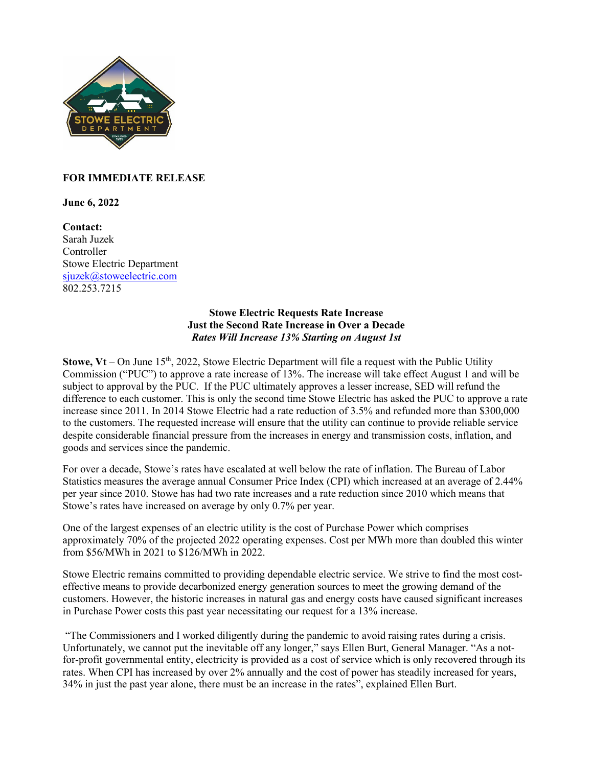

## **FOR IMMEDIATE RELEASE**

**June 6, 2022**

**Contact:**  Sarah Juzek Controller Stowe Electric Department sjuzek@stoweelectric.com 802.253.7215

## **Stowe Electric Requests Rate Increase Just the Second Rate Increase in Over a Decade** *Rates Will Increase 13% Starting on August 1st*

**Stowe,**  $Vt$  – On June 15<sup>th</sup>, 2022, Stowe Electric Department will file a request with the Public Utility Commission ("PUC") to approve a rate increase of 13%. The increase will take effect August 1 and will be subject to approval by the PUC. If the PUC ultimately approves a lesser increase, SED will refund the difference to each customer. This is only the second time Stowe Electric has asked the PUC to approve a rate increase since 2011. In 2014 Stowe Electric had a rate reduction of 3.5% and refunded more than \$300,000 to the customers. The requested increase will ensure that the utility can continue to provide reliable service despite considerable financial pressure from the increases in energy and transmission costs, inflation, and goods and services since the pandemic.

For over a decade, Stowe's rates have escalated at well below the rate of inflation. The Bureau of Labor Statistics measures the average annual Consumer Price Index (CPI) which increased at an average of 2.44% per year since 2010. Stowe has had two rate increases and a rate reduction since 2010 which means that Stowe's rates have increased on average by only 0.7% per year.

One of the largest expenses of an electric utility is the cost of Purchase Power which comprises approximately 70% of the projected 2022 operating expenses. Cost per MWh more than doubled this winter from \$56/MWh in 2021 to \$126/MWh in 2022.

Stowe Electric remains committed to providing dependable electric service. We strive to find the most costeffective means to provide decarbonized energy generation sources to meet the growing demand of the customers. However, the historic increases in natural gas and energy costs have caused significant increases in Purchase Power costs this past year necessitating our request for a 13% increase.

"The Commissioners and I worked diligently during the pandemic to avoid raising rates during a crisis. Unfortunately, we cannot put the inevitable off any longer," says Ellen Burt, General Manager. "As a notfor-profit governmental entity, electricity is provided as a cost of service which is only recovered through its rates. When CPI has increased by over 2% annually and the cost of power has steadily increased for years, 34% in just the past year alone, there must be an increase in the rates", explained Ellen Burt.